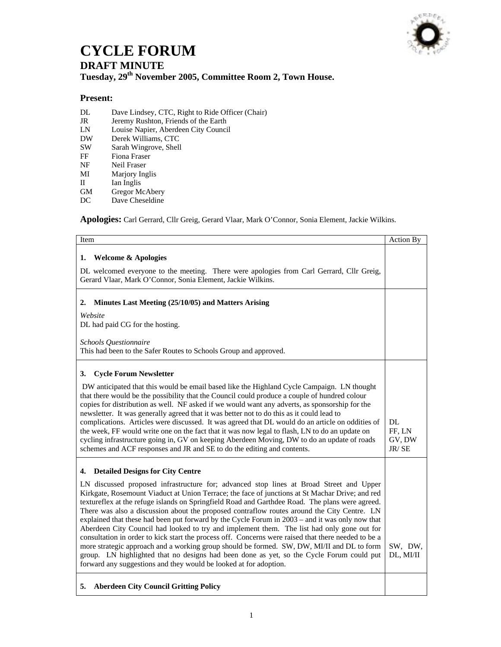

## **CYCLE FORUM**

## **DRAFT MINUTE**

## **Tuesday, 29th November 2005, Committee Room 2, Town House.**

## **Present:**

- DL Dave Lindsey, CTC, Right to Ride Officer (Chair)
- JR Jeremy Rushton, Friends of the Earth<br>
LN Louise Napier, Aberdeen City Counci
- Louise Napier, Aberdeen City Council
- DW Derek Williams, CTC<br>SW Sarah Wingrove, Shell
- SW Sarah Wingrove, Shell<br>FF Fiona Fraser
- Fiona Fraser
- NF Neil Fraser
- MI Marjory Inglis
- II Ian Inglis
- GM Gregor McAbery
- DC Dave Cheseldine

**Apologies:** Carl Gerrard, Cllr Greig, Gerard Vlaar, Mark O'Connor, Sonia Element, Jackie Wilkins.

| Item                                                                                                                                                                                                                                                                                                                                                                                                                                                                                                                                                                                                                                                                                                                                                                                                                                                                                                                                                                | <b>Action By</b>                |
|---------------------------------------------------------------------------------------------------------------------------------------------------------------------------------------------------------------------------------------------------------------------------------------------------------------------------------------------------------------------------------------------------------------------------------------------------------------------------------------------------------------------------------------------------------------------------------------------------------------------------------------------------------------------------------------------------------------------------------------------------------------------------------------------------------------------------------------------------------------------------------------------------------------------------------------------------------------------|---------------------------------|
| <b>Welcome &amp; Apologies</b><br>1.                                                                                                                                                                                                                                                                                                                                                                                                                                                                                                                                                                                                                                                                                                                                                                                                                                                                                                                                |                                 |
| DL welcomed everyone to the meeting. There were apologies from Carl Gerrard, Cllr Greig,<br>Gerard Vlaar, Mark O'Connor, Sonia Element, Jackie Wilkins.                                                                                                                                                                                                                                                                                                                                                                                                                                                                                                                                                                                                                                                                                                                                                                                                             |                                 |
| Minutes Last Meeting (25/10/05) and Matters Arising<br>2.                                                                                                                                                                                                                                                                                                                                                                                                                                                                                                                                                                                                                                                                                                                                                                                                                                                                                                           |                                 |
| Website<br>DL had paid CG for the hosting.                                                                                                                                                                                                                                                                                                                                                                                                                                                                                                                                                                                                                                                                                                                                                                                                                                                                                                                          |                                 |
| Schools Questionnaire<br>This had been to the Safer Routes to Schools Group and approved.                                                                                                                                                                                                                                                                                                                                                                                                                                                                                                                                                                                                                                                                                                                                                                                                                                                                           |                                 |
| <b>Cycle Forum Newsletter</b><br>3.                                                                                                                                                                                                                                                                                                                                                                                                                                                                                                                                                                                                                                                                                                                                                                                                                                                                                                                                 |                                 |
| DW anticipated that this would be email based like the Highland Cycle Campaign. LN thought<br>that there would be the possibility that the Council could produce a couple of hundred colour<br>copies for distribution as well. NF asked if we would want any adverts, as sponsorship for the<br>newsletter. It was generally agreed that it was better not to do this as it could lead to<br>complications. Articles were discussed. It was agreed that DL would do an article on oddities of<br>the week, FF would write one on the fact that it was now legal to flash, LN to do an update on<br>cycling infrastructure going in, GV on keeping Aberdeen Moving, DW to do an update of roads<br>schemes and ACF responses and JR and SE to do the editing and contents.                                                                                                                                                                                          | DL<br>FF, LN<br>GV, DW<br>JR/SE |
| <b>Detailed Designs for City Centre</b><br>4.                                                                                                                                                                                                                                                                                                                                                                                                                                                                                                                                                                                                                                                                                                                                                                                                                                                                                                                       |                                 |
| LN discussed proposed infrastructure for; advanced stop lines at Broad Street and Upper<br>Kirkgate, Rosemount Viaduct at Union Terrace; the face of junctions at St Machar Drive; and red<br>textureflex at the refuge islands on Springfield Road and Garthdee Road. The plans were agreed.<br>There was also a discussion about the proposed contraflow routes around the City Centre. LN<br>explained that these had been put forward by the Cycle Forum in 2003 – and it was only now that<br>Aberdeen City Council had looked to try and implement them. The list had only gone out for<br>consultation in order to kick start the process off. Concerns were raised that there needed to be a<br>more strategic approach and a working group should be formed. SW, DW, MI/II and DL to form<br>group. LN highlighted that no designs had been done as yet, so the Cycle Forum could put<br>forward any suggestions and they would be looked at for adoption. | SW, DW,<br>DL, MI/II            |
| <b>Aberdeen City Council Gritting Policy</b><br>5.                                                                                                                                                                                                                                                                                                                                                                                                                                                                                                                                                                                                                                                                                                                                                                                                                                                                                                                  |                                 |